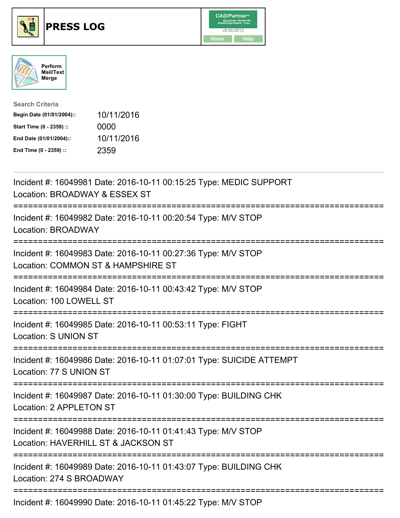





| <b>Search Criteria</b>    |            |
|---------------------------|------------|
| Begin Date (01/01/2004):: | 10/11/2016 |
| Start Time (0 - 2359) ::  | 0000       |
| End Date (01/01/2004)::   | 10/11/2016 |
| End Time (0 - 2359) ::    | 2359       |

| Incident #: 16049981 Date: 2016-10-11 00:15:25 Type: MEDIC SUPPORT<br>Location: BROADWAY & ESSEX ST                |
|--------------------------------------------------------------------------------------------------------------------|
| Incident #: 16049982 Date: 2016-10-11 00:20:54 Type: M/V STOP<br>Location: BROADWAY                                |
| Incident #: 16049983 Date: 2016-10-11 00:27:36 Type: M/V STOP<br>Location: COMMON ST & HAMPSHIRE ST<br>----------- |
| Incident #: 16049984 Date: 2016-10-11 00:43:42 Type: M/V STOP<br>Location: 100 LOWELL ST<br>====================== |
| Incident #: 16049985 Date: 2016-10-11 00:53:11 Type: FIGHT<br>Location: S UNION ST                                 |
| Incident #: 16049986 Date: 2016-10-11 01:07:01 Type: SUICIDE ATTEMPT<br>Location: 77 S UNION ST                    |
| Incident #: 16049987 Date: 2016-10-11 01:30:00 Type: BUILDING CHK<br>Location: 2 APPLETON ST                       |
| Incident #: 16049988 Date: 2016-10-11 01:41:43 Type: M/V STOP<br>Location: HAVERHILL ST & JACKSON ST               |
| Incident #: 16049989 Date: 2016-10-11 01:43:07 Type: BUILDING CHK<br>Location: 274 S BROADWAY                      |
| Incident #: 16049990 Date: 2016-10-11 01:45:22 Type: M/V STOP                                                      |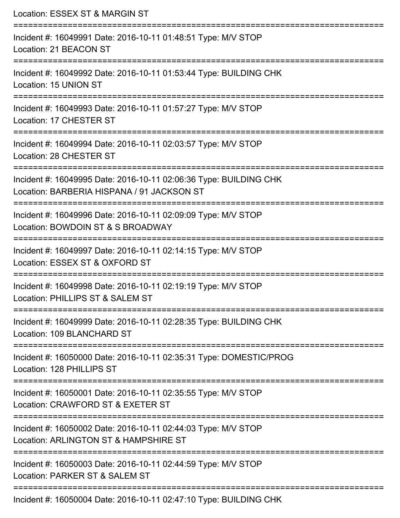| Location: ESSEX ST & MARGIN ST                                                                                                            |
|-------------------------------------------------------------------------------------------------------------------------------------------|
| Incident #: 16049991 Date: 2016-10-11 01:48:51 Type: M/V STOP<br>Location: 21 BEACON ST                                                   |
| Incident #: 16049992 Date: 2016-10-11 01:53:44 Type: BUILDING CHK<br>Location: 15 UNION ST                                                |
| Incident #: 16049993 Date: 2016-10-11 01:57:27 Type: M/V STOP<br>Location: 17 CHESTER ST                                                  |
| Incident #: 16049994 Date: 2016-10-11 02:03:57 Type: M/V STOP<br>Location: 28 CHESTER ST                                                  |
| Incident #: 16049995 Date: 2016-10-11 02:06:36 Type: BUILDING CHK<br>Location: BARBERIA HISPANA / 91 JACKSON ST<br>---------------------- |
| Incident #: 16049996 Date: 2016-10-11 02:09:09 Type: M/V STOP<br>Location: BOWDOIN ST & S BROADWAY                                        |
| Incident #: 16049997 Date: 2016-10-11 02:14:15 Type: M/V STOP<br>Location: ESSEX ST & OXFORD ST                                           |
| Incident #: 16049998 Date: 2016-10-11 02:19:19 Type: M/V STOP<br>Location: PHILLIPS ST & SALEM ST                                         |
| Incident #: 16049999 Date: 2016-10-11 02:28:35 Type: BUILDING CHK<br>Location: 109 BLANCHARD ST                                           |
| Incident #: 16050000 Date: 2016-10-11 02:35:31 Type: DOMESTIC/PROG<br>Location: 128 PHILLIPS ST                                           |
| Incident #: 16050001 Date: 2016-10-11 02:35:55 Type: M/V STOP<br>Location: CRAWFORD ST & EXETER ST                                        |
| Incident #: 16050002 Date: 2016-10-11 02:44:03 Type: M/V STOP<br>Location: ARLINGTON ST & HAMPSHIRE ST                                    |
| Incident #: 16050003 Date: 2016-10-11 02:44:59 Type: M/V STOP<br>Location: PARKER ST & SALEM ST                                           |
| Incident #: 16050004 Date: 2016-10-11 02:47:10 Type: BUILDING CHK                                                                         |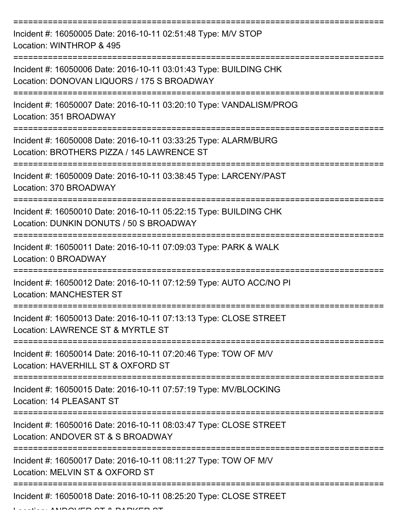| Incident #: 16050005 Date: 2016-10-11 02:51:48 Type: M/V STOP<br>Location: WINTHROP & 495                       |
|-----------------------------------------------------------------------------------------------------------------|
| Incident #: 16050006 Date: 2016-10-11 03:01:43 Type: BUILDING CHK<br>Location: DONOVAN LIQUORS / 175 S BROADWAY |
| Incident #: 16050007 Date: 2016-10-11 03:20:10 Type: VANDALISM/PROG<br>Location: 351 BROADWAY                   |
| Incident #: 16050008 Date: 2016-10-11 03:33:25 Type: ALARM/BURG<br>Location: BROTHERS PIZZA / 145 LAWRENCE ST   |
| Incident #: 16050009 Date: 2016-10-11 03:38:45 Type: LARCENY/PAST<br>Location: 370 BROADWAY                     |
| Incident #: 16050010 Date: 2016-10-11 05:22:15 Type: BUILDING CHK<br>Location: DUNKIN DONUTS / 50 S BROADWAY    |
| Incident #: 16050011 Date: 2016-10-11 07:09:03 Type: PARK & WALK<br>Location: 0 BROADWAY                        |
| Incident #: 16050012 Date: 2016-10-11 07:12:59 Type: AUTO ACC/NO PI<br><b>Location: MANCHESTER ST</b>           |
| Incident #: 16050013 Date: 2016-10-11 07:13:13 Type: CLOSE STREET<br>Location: LAWRENCE ST & MYRTLE ST          |
| Incident #: 16050014 Date: 2016-10-11 07:20:46 Type: TOW OF M/V<br>Location: HAVERHILL ST & OXFORD ST           |
| Incident #: 16050015 Date: 2016-10-11 07:57:19 Type: MV/BLOCKING<br>Location: 14 PLEASANT ST                    |
| Incident #: 16050016 Date: 2016-10-11 08:03:47 Type: CLOSE STREET<br>Location: ANDOVER ST & S BROADWAY          |
| Incident #: 16050017 Date: 2016-10-11 08:11:27 Type: TOW OF M/V<br>Location: MELVIN ST & OXFORD ST              |
| Incident #: 16050018 Date: 2016-10-11 08:25:20 Type: CLOSE STREET                                               |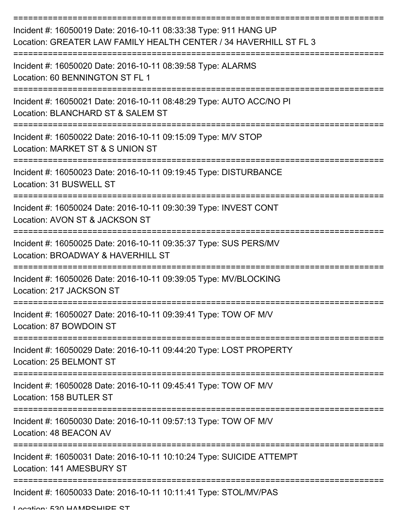| Incident #: 16050019 Date: 2016-10-11 08:33:38 Type: 911 HANG UP<br>Location: GREATER LAW FAMILY HEALTH CENTER / 34 HAVERHILL ST FL 3 |
|---------------------------------------------------------------------------------------------------------------------------------------|
| Incident #: 16050020 Date: 2016-10-11 08:39:58 Type: ALARMS<br>Location: 60 BENNINGTON ST FL 1                                        |
| Incident #: 16050021 Date: 2016-10-11 08:48:29 Type: AUTO ACC/NO PI<br>Location: BLANCHARD ST & SALEM ST                              |
| Incident #: 16050022 Date: 2016-10-11 09:15:09 Type: M/V STOP<br>Location: MARKET ST & S UNION ST                                     |
| Incident #: 16050023 Date: 2016-10-11 09:19:45 Type: DISTURBANCE<br>Location: 31 BUSWELL ST                                           |
| Incident #: 16050024 Date: 2016-10-11 09:30:39 Type: INVEST CONT<br>Location: AVON ST & JACKSON ST                                    |
| Incident #: 16050025 Date: 2016-10-11 09:35:37 Type: SUS PERS/MV<br>Location: BROADWAY & HAVERHILL ST                                 |
| Incident #: 16050026 Date: 2016-10-11 09:39:05 Type: MV/BLOCKING<br>Location: 217 JACKSON ST                                          |
| Incident #: 16050027 Date: 2016-10-11 09:39:41 Type: TOW OF M/V<br>Location: 87 BOWDOIN ST                                            |
| Incident #: 16050029 Date: 2016-10-11 09:44:20 Type: LOST PROPERTY<br>Location: 25 BELMONT ST                                         |
| Incident #: 16050028 Date: 2016-10-11 09:45:41 Type: TOW OF M/V<br>Location: 158 BUTLER ST                                            |
| Incident #: 16050030 Date: 2016-10-11 09:57:13 Type: TOW OF M/V<br>Location: 48 BEACON AV                                             |
| Incident #: 16050031 Date: 2016-10-11 10:10:24 Type: SUICIDE ATTEMPT<br>Location: 141 AMESBURY ST                                     |
| Incident #: 16050033 Date: 2016-10-11 10:11:41 Type: STOL/MV/PAS                                                                      |

Location: 530 HAMPSHIRE ST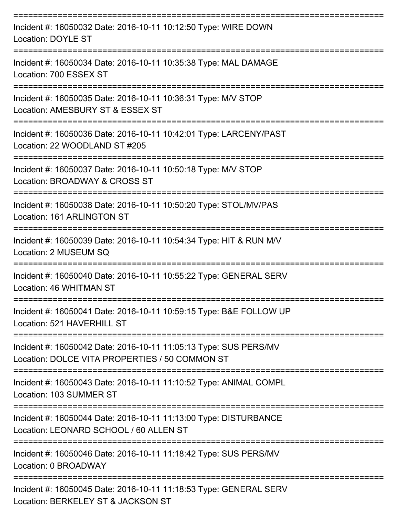| Incident #: 16050032 Date: 2016-10-11 10:12:50 Type: WIRE DOWN<br>Location: DOYLE ST                                       |
|----------------------------------------------------------------------------------------------------------------------------|
| Incident #: 16050034 Date: 2016-10-11 10:35:38 Type: MAL DAMAGE<br>Location: 700 ESSEX ST                                  |
| Incident #: 16050035 Date: 2016-10-11 10:36:31 Type: M/V STOP<br>Location: AMESBURY ST & ESSEX ST<br>===================== |
| Incident #: 16050036 Date: 2016-10-11 10:42:01 Type: LARCENY/PAST<br>Location: 22 WOODLAND ST #205                         |
| Incident #: 16050037 Date: 2016-10-11 10:50:18 Type: M/V STOP<br>Location: BROADWAY & CROSS ST                             |
| Incident #: 16050038 Date: 2016-10-11 10:50:20 Type: STOL/MV/PAS<br>Location: 161 ARLINGTON ST                             |
| Incident #: 16050039 Date: 2016-10-11 10:54:34 Type: HIT & RUN M/V<br>Location: 2 MUSEUM SQ                                |
| Incident #: 16050040 Date: 2016-10-11 10:55:22 Type: GENERAL SERV<br>Location: 46 WHITMAN ST                               |
| Incident #: 16050041 Date: 2016-10-11 10:59:15 Type: B&E FOLLOW UP<br>Location: 521 HAVERHILL ST                           |
| Incident #: 16050042 Date: 2016-10-11 11:05:13 Type: SUS PERS/MV<br>Location: DOLCE VITA PROPERTIES / 50 COMMON ST         |
| Incident #: 16050043 Date: 2016-10-11 11:10:52 Type: ANIMAL COMPL<br>Location: 103 SUMMER ST                               |
| Incident #: 16050044 Date: 2016-10-11 11:13:00 Type: DISTURBANCE<br>Location: LEONARD SCHOOL / 60 ALLEN ST                 |
| Incident #: 16050046 Date: 2016-10-11 11:18:42 Type: SUS PERS/MV<br>Location: 0 BROADWAY                                   |
| Incident #: 16050045 Date: 2016-10-11 11:18:53 Type: GENERAL SERV<br>Location: BERKELEY ST & JACKSON ST                    |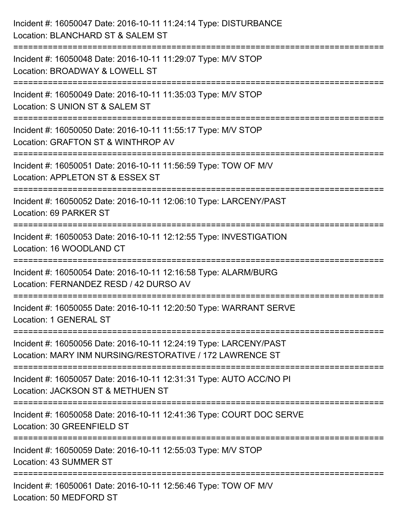| Incident #: 16050047 Date: 2016-10-11 11:24:14 Type: DISTURBANCE<br>Location: BLANCHARD ST & SALEM ST                                                                      |
|----------------------------------------------------------------------------------------------------------------------------------------------------------------------------|
| Incident #: 16050048 Date: 2016-10-11 11:29:07 Type: M/V STOP<br>Location: BROADWAY & LOWELL ST                                                                            |
| Incident #: 16050049 Date: 2016-10-11 11:35:03 Type: M/V STOP<br>Location: S UNION ST & SALEM ST<br>:=====================                                                 |
| Incident #: 16050050 Date: 2016-10-11 11:55:17 Type: M/V STOP<br>Location: GRAFTON ST & WINTHROP AV                                                                        |
| Incident #: 16050051 Date: 2016-10-11 11:56:59 Type: TOW OF M/V<br>Location: APPLETON ST & ESSEX ST<br>:=====================                                              |
| Incident #: 16050052 Date: 2016-10-11 12:06:10 Type: LARCENY/PAST<br>Location: 69 PARKER ST                                                                                |
| Incident #: 16050053 Date: 2016-10-11 12:12:55 Type: INVESTIGATION<br>Location: 16 WOODLAND CT                                                                             |
| Incident #: 16050054 Date: 2016-10-11 12:16:58 Type: ALARM/BURG<br>Location: FERNANDEZ RESD / 42 DURSO AV                                                                  |
| Incident #: 16050055 Date: 2016-10-11 12:20:50 Type: WARRANT SERVE<br>Location: 1 GENERAL ST                                                                               |
| Incident #: 16050056 Date: 2016-10-11 12:24:19 Type: LARCENY/PAST<br>Location: MARY INM NURSING/RESTORATIVE / 172 LAWRENCE ST                                              |
| Incident #: 16050057 Date: 2016-10-11 12:31:31 Type: AUTO ACC/NO PI<br>Location: JACKSON ST & METHUEN ST                                                                   |
| Incident #: 16050058 Date: 2016-10-11 12:41:36 Type: COURT DOC SERVE<br>Location: 30 GREENFIELD ST<br>=================================<br>=============================== |
| Incident #: 16050059 Date: 2016-10-11 12:55:03 Type: M/V STOP<br>Location: 43 SUMMER ST                                                                                    |
| Incident #: 16050061 Date: 2016-10-11 12:56:46 Type: TOW OF M/V<br>Location: 50 MEDFORD ST                                                                                 |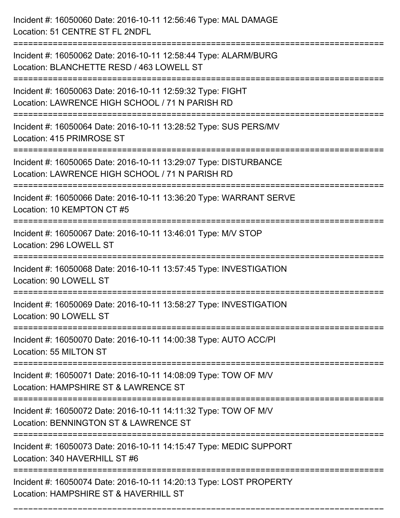| Incident #: 16050060 Date: 2016-10-11 12:56:46 Type: MAL DAMAGE<br>Location: 51 CENTRE ST FL 2NDFL                                                                                   |
|--------------------------------------------------------------------------------------------------------------------------------------------------------------------------------------|
| Incident #: 16050062 Date: 2016-10-11 12:58:44 Type: ALARM/BURG<br>Location: BLANCHETTE RESD / 463 LOWELL ST                                                                         |
| Incident #: 16050063 Date: 2016-10-11 12:59:32 Type: FIGHT<br>Location: LAWRENCE HIGH SCHOOL / 71 N PARISH RD                                                                        |
| Incident #: 16050064 Date: 2016-10-11 13:28:52 Type: SUS PERS/MV<br>Location: 415 PRIMROSE ST                                                                                        |
| Incident #: 16050065 Date: 2016-10-11 13:29:07 Type: DISTURBANCE<br>Location: LAWRENCE HIGH SCHOOL / 71 N PARISH RD                                                                  |
| Incident #: 16050066 Date: 2016-10-11 13:36:20 Type: WARRANT SERVE<br>Location: 10 KEMPTON CT #5                                                                                     |
| Incident #: 16050067 Date: 2016-10-11 13:46:01 Type: M/V STOP<br>Location: 296 LOWELL ST                                                                                             |
| Incident #: 16050068 Date: 2016-10-11 13:57:45 Type: INVESTIGATION<br>Location: 90 LOWELL ST                                                                                         |
| Incident #: 16050069 Date: 2016-10-11 13:58:27 Type: INVESTIGATION<br>Location: 90 LOWELL ST                                                                                         |
| Incident #: 16050070 Date: 2016-10-11 14:00:38 Type: AUTO ACC/PI<br>Location: 55 MILTON ST<br>--------------------------------                                                       |
| Incident #: 16050071 Date: 2016-10-11 14:08:09 Type: TOW OF M/V<br>Location: HAMPSHIRE ST & LAWRENCE ST                                                                              |
| Incident #: 16050072 Date: 2016-10-11 14:11:32 Type: TOW OF M/V<br>Location: BENNINGTON ST & LAWRENCE ST<br>==================================<br>================================== |
| Incident #: 16050073 Date: 2016-10-11 14:15:47 Type: MEDIC SUPPORT<br>Location: 340 HAVERHILL ST #6                                                                                  |
| Incident #: 16050074 Date: 2016-10-11 14:20:13 Type: LOST PROPERTY<br>Location: HAMPSHIRE ST & HAVERHILL ST                                                                          |

===========================================================================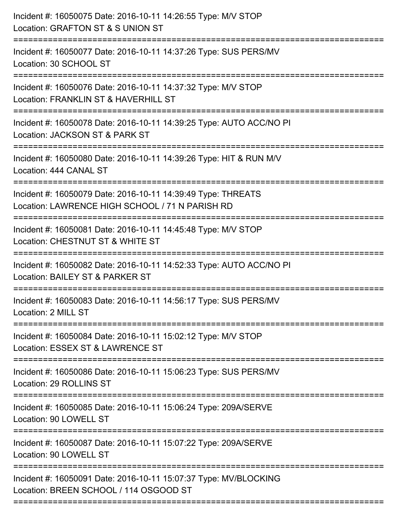| Incident #: 16050075 Date: 2016-10-11 14:26:55 Type: M/V STOP<br>Location: GRAFTON ST & S UNION ST<br>===================        |
|----------------------------------------------------------------------------------------------------------------------------------|
| Incident #: 16050077 Date: 2016-10-11 14:37:26 Type: SUS PERS/MV<br>Location: 30 SCHOOL ST                                       |
| Incident #: 16050076 Date: 2016-10-11 14:37:32 Type: M/V STOP<br>Location: FRANKLIN ST & HAVERHILL ST<br>======================= |
| Incident #: 16050078 Date: 2016-10-11 14:39:25 Type: AUTO ACC/NO PI<br>Location: JACKSON ST & PARK ST                            |
| Incident #: 16050080 Date: 2016-10-11 14:39:26 Type: HIT & RUN M/V<br>Location: 444 CANAL ST<br>===============================  |
| Incident #: 16050079 Date: 2016-10-11 14:39:49 Type: THREATS<br>Location: LAWRENCE HIGH SCHOOL / 71 N PARISH RD                  |
| Incident #: 16050081 Date: 2016-10-11 14:45:48 Type: M/V STOP<br>Location: CHESTNUT ST & WHITE ST                                |
| Incident #: 16050082 Date: 2016-10-11 14:52:33 Type: AUTO ACC/NO PI<br>Location: BAILEY ST & PARKER ST                           |
| Incident #: 16050083 Date: 2016-10-11 14:56:17 Type: SUS PERS/MV<br>Location: 2 MILL ST                                          |
| Incident #: 16050084 Date: 2016-10-11 15:02:12 Type: M/V STOP<br>Location: ESSEX ST & LAWRENCE ST                                |
| Incident #: 16050086 Date: 2016-10-11 15:06:23 Type: SUS PERS/MV<br>Location: 29 ROLLINS ST                                      |
| Incident #: 16050085 Date: 2016-10-11 15:06:24 Type: 209A/SERVE<br>Location: 90 LOWELL ST                                        |
| Incident #: 16050087 Date: 2016-10-11 15:07:22 Type: 209A/SERVE<br>Location: 90 LOWELL ST                                        |
| Incident #: 16050091 Date: 2016-10-11 15:07:37 Type: MV/BLOCKING<br>Location: BREEN SCHOOL / 114 OSGOOD ST                       |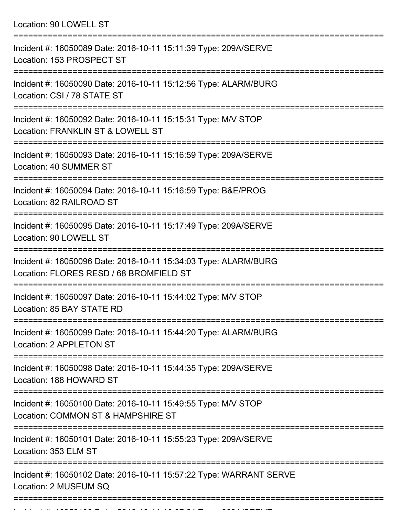Location: 90 LOWELL ST =========================================================================== Incident #: 16050089 Date: 2016-10-11 15:11:39 Type: 209A/SERVE Location: 153 PROSPECT ST =========================================================================== Incident #: 16050090 Date: 2016-10-11 15:12:56 Type: ALARM/BURG Location: CSI / 78 STATE ST =========================================================================== Incident #: 16050092 Date: 2016-10-11 15:15:31 Type: M/V STOP Location: FRANKLIN ST & LOWELL ST =========================================================================== Incident #: 16050093 Date: 2016-10-11 15:16:59 Type: 209A/SERVE Location: 40 SUMMER ST =========================================================================== Incident #: 16050094 Date: 2016-10-11 15:16:59 Type: B&E/PROG Location: 82 RAILROAD ST =========================================================================== Incident #: 16050095 Date: 2016-10-11 15:17:49 Type: 209A/SERVE Location: 90 LOWELL ST =========================================================================== Incident #: 16050096 Date: 2016-10-11 15:34:03 Type: ALARM/BURG Location: FLORES RESD / 68 BROMFIELD ST =========================================================================== Incident #: 16050097 Date: 2016-10-11 15:44:02 Type: M/V STOP Location: 85 BAY STATE RD =========================================================================== Incident #: 16050099 Date: 2016-10-11 15:44:20 Type: ALARM/BURG Location: 2 APPLETON ST =========================================================================== Incident #: 16050098 Date: 2016-10-11 15:44:35 Type: 209A/SERVE Location: 188 HOWARD ST =========================================================================== Incident #: 16050100 Date: 2016-10-11 15:49:55 Type: M/V STOP Location: COMMON ST & HAMPSHIRE ST =========================================================================== Incident #: 16050101 Date: 2016-10-11 15:55:23 Type: 209A/SERVE

Location: 353 ELM ST

===========================================================================

===========================================================================

Incident #: 16050102 Date: 2016-10-11 15:57:22 Type: WARRANT SERVE Location: 2 MUSEUM SQ

Incident #: 16050103 Date: 2016 10 11 16:07:21 Type: 209A/SERVE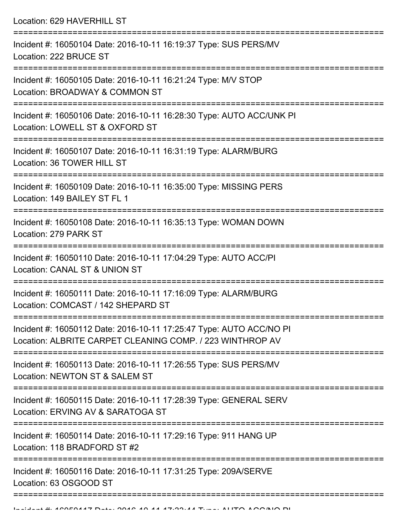Location: 629 HAVERHILL ST =========================================================================== Incident #: 16050104 Date: 2016-10-11 16:19:37 Type: SUS PERS/MV Location: 222 BRUCE ST =========================================================================== Incident #: 16050105 Date: 2016-10-11 16:21:24 Type: M/V STOP Location: BROADWAY & COMMON ST =========================================================================== Incident #: 16050106 Date: 2016-10-11 16:28:30 Type: AUTO ACC/UNK PI Location: LOWELL ST & OXFORD ST =========================================================================== Incident #: 16050107 Date: 2016-10-11 16:31:19 Type: ALARM/BURG Location: 36 TOWER HILL ST =========================================================================== Incident #: 16050109 Date: 2016-10-11 16:35:00 Type: MISSING PERS Location: 149 BAILEY ST FL 1 =========================================================================== Incident #: 16050108 Date: 2016-10-11 16:35:13 Type: WOMAN DOWN Location: 279 PARK ST =========================================================================== Incident #: 16050110 Date: 2016-10-11 17:04:29 Type: AUTO ACC/PI Location: CANAL ST & UNION ST =========================================================================== Incident #: 16050111 Date: 2016-10-11 17:16:09 Type: ALARM/BURG Location: COMCAST / 142 SHEPARD ST =========================================================================== Incident #: 16050112 Date: 2016-10-11 17:25:47 Type: AUTO ACC/NO PI Location: ALBRITE CARPET CLEANING COMP. / 223 WINTHROP AV =========================================================================== Incident #: 16050113 Date: 2016-10-11 17:26:55 Type: SUS PERS/MV Location: NEWTON ST & SALEM ST =========================================================================== Incident #: 16050115 Date: 2016-10-11 17:28:39 Type: GENERAL SERV Location: ERVING AV & SARATOGA ST =========================================================================== Incident #: 16050114 Date: 2016-10-11 17:29:16 Type: 911 HANG UP Location: 118 BRADFORD ST #2 =========================================================================== Incident #: 16050116 Date: 2016-10-11 17:31:25 Type: 209A/SERVE Location: 63 OSGOOD ST ===========================================================================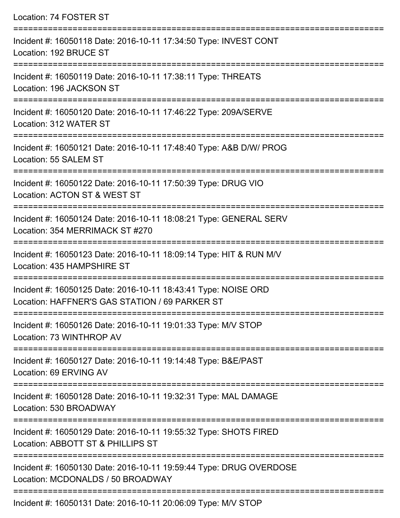| Location: 74 FOSTER ST                                                                                           |
|------------------------------------------------------------------------------------------------------------------|
| Incident #: 16050118 Date: 2016-10-11 17:34:50 Type: INVEST CONT<br>Location: 192 BRUCE ST                       |
| Incident #: 16050119 Date: 2016-10-11 17:38:11 Type: THREATS<br>Location: 196 JACKSON ST                         |
| Incident #: 16050120 Date: 2016-10-11 17:46:22 Type: 209A/SERVE<br>Location: 312 WATER ST                        |
| Incident #: 16050121 Date: 2016-10-11 17:48:40 Type: A&B D/W/ PROG<br>Location: 55 SALEM ST                      |
| Incident #: 16050122 Date: 2016-10-11 17:50:39 Type: DRUG VIO<br>Location: ACTON ST & WEST ST                    |
| Incident #: 16050124 Date: 2016-10-11 18:08:21 Type: GENERAL SERV<br>Location: 354 MERRIMACK ST #270             |
| Incident #: 16050123 Date: 2016-10-11 18:09:14 Type: HIT & RUN M/V<br>Location: 435 HAMPSHIRE ST                 |
| Incident #: 16050125 Date: 2016-10-11 18:43:41 Type: NOISE ORD<br>Location: HAFFNER'S GAS STATION / 69 PARKER ST |
| Incident #: 16050126 Date: 2016-10-11 19:01:33 Type: M/V STOP<br>Location: 73 WINTHROP AV                        |
| Incident #: 16050127 Date: 2016-10-11 19:14:48 Type: B&E/PAST<br>Location: 69 ERVING AV                          |
| Incident #: 16050128 Date: 2016-10-11 19:32:31 Type: MAL DAMAGE<br>Location: 530 BROADWAY                        |
| Incident #: 16050129 Date: 2016-10-11 19:55:32 Type: SHOTS FIRED<br>Location: ABBOTT ST & PHILLIPS ST            |
| Incident #: 16050130 Date: 2016-10-11 19:59:44 Type: DRUG OVERDOSE<br>Location: MCDONALDS / 50 BROADWAY          |
|                                                                                                                  |

Incident #: 16050131 Date: 2016-10-11 20:06:09 Type: M/V STOP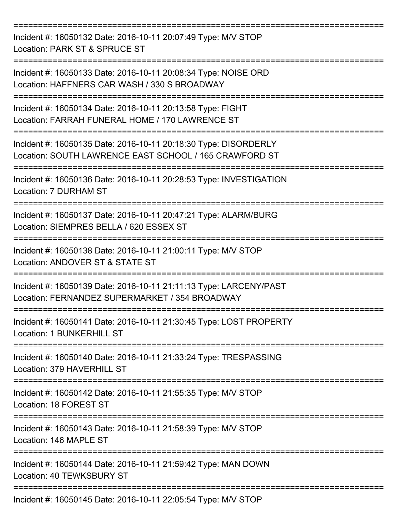| Incident #: 16050132 Date: 2016-10-11 20:07:49 Type: M/V STOP<br>Location: PARK ST & SPRUCE ST                            |
|---------------------------------------------------------------------------------------------------------------------------|
| Incident #: 16050133 Date: 2016-10-11 20:08:34 Type: NOISE ORD<br>Location: HAFFNERS CAR WASH / 330 S BROADWAY            |
| Incident #: 16050134 Date: 2016-10-11 20:13:58 Type: FIGHT<br>Location: FARRAH FUNERAL HOME / 170 LAWRENCE ST             |
| Incident #: 16050135 Date: 2016-10-11 20:18:30 Type: DISORDERLY<br>Location: SOUTH LAWRENCE EAST SCHOOL / 165 CRAWFORD ST |
| Incident #: 16050136 Date: 2016-10-11 20:28:53 Type: INVESTIGATION<br>Location: 7 DURHAM ST                               |
| Incident #: 16050137 Date: 2016-10-11 20:47:21 Type: ALARM/BURG<br>Location: SIEMPRES BELLA / 620 ESSEX ST                |
| Incident #: 16050138 Date: 2016-10-11 21:00:11 Type: M/V STOP<br>Location: ANDOVER ST & STATE ST                          |
| Incident #: 16050139 Date: 2016-10-11 21:11:13 Type: LARCENY/PAST<br>Location: FERNANDEZ SUPERMARKET / 354 BROADWAY       |
| Incident #: 16050141 Date: 2016-10-11 21:30:45 Type: LOST PROPERTY<br>Location: 1 BUNKERHILL ST                           |
| Incident #: 16050140 Date: 2016-10-11 21:33:24 Type: TRESPASSING<br>Location: 379 HAVERHILL ST                            |
| Incident #: 16050142 Date: 2016-10-11 21:55:35 Type: M/V STOP<br>Location: 18 FOREST ST                                   |
| Incident #: 16050143 Date: 2016-10-11 21:58:39 Type: M/V STOP<br>Location: 146 MAPLE ST                                   |
| Incident #: 16050144 Date: 2016-10-11 21:59:42 Type: MAN DOWN<br>Location: 40 TEWKSBURY ST                                |
| Incident #: 16050145 Date: 2016-10-11 22:05:54 Type: M/V STOP                                                             |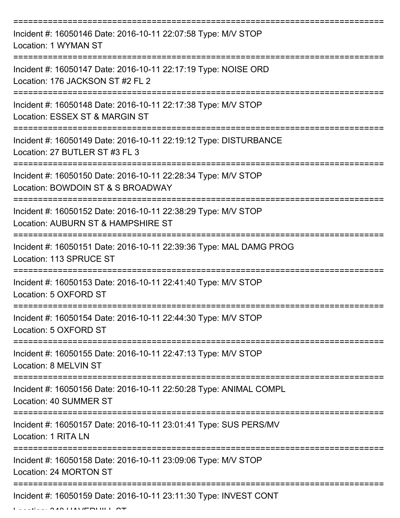| Incident #: 16050146 Date: 2016-10-11 22:07:58 Type: M/V STOP<br>Location: 1 WYMAN ST                  |
|--------------------------------------------------------------------------------------------------------|
| Incident #: 16050147 Date: 2016-10-11 22:17:19 Type: NOISE ORD<br>Location: 176 JACKSON ST #2 FL 2     |
| Incident #: 16050148 Date: 2016-10-11 22:17:38 Type: M/V STOP<br>Location: ESSEX ST & MARGIN ST        |
| Incident #: 16050149 Date: 2016-10-11 22:19:12 Type: DISTURBANCE<br>Location: 27 BUTLER ST #3 FL 3     |
| Incident #: 16050150 Date: 2016-10-11 22:28:34 Type: M/V STOP<br>Location: BOWDOIN ST & S BROADWAY     |
| Incident #: 16050152 Date: 2016-10-11 22:38:29 Type: M/V STOP<br>Location: AUBURN ST & HAMPSHIRE ST    |
| Incident #: 16050151 Date: 2016-10-11 22:39:36 Type: MAL DAMG PROG<br>Location: 113 SPRUCE ST          |
| ============<br>Incident #: 16050153 Date: 2016-10-11 22:41:40 Type: M/V STOP<br>Location: 5 OXFORD ST |
| Incident #: 16050154 Date: 2016-10-11 22:44:30 Type: M/V STOP<br>Location: 5 OXFORD ST                 |
| Incident #: 16050155 Date: 2016-10-11 22:47:13 Type: M/V STOP<br>Location: 8 MELVIN ST                 |
| Incident #: 16050156 Date: 2016-10-11 22:50:28 Type: ANIMAL COMPL<br>Location: 40 SUMMER ST            |
| Incident #: 16050157 Date: 2016-10-11 23:01:41 Type: SUS PERS/MV<br>Location: 1 RITA LN                |
| Incident #: 16050158 Date: 2016-10-11 23:09:06 Type: M/V STOP<br>Location: 24 MORTON ST                |
| Incident #: 16050159 Date: 2016-10-11 23:11:30 Type: INVEST CONT                                       |